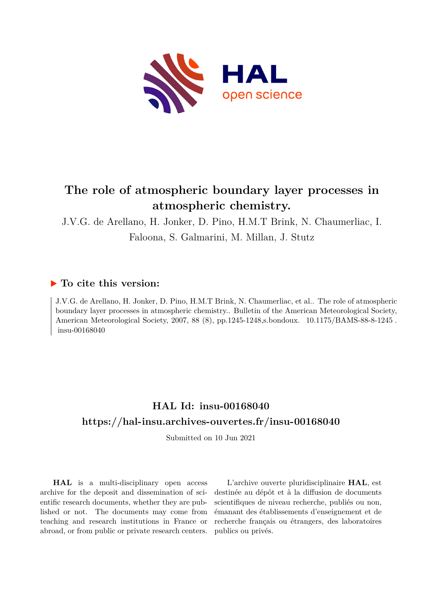

## **The role of atmospheric boundary layer processes in atmospheric chemistry.**

J.V.G. de Arellano, H. Jonker, D. Pino, H.M.T Brink, N. Chaumerliac, I. Faloona, S. Galmarini, M. Millan, J. Stutz

### **To cite this version:**

J.V.G. de Arellano, H. Jonker, D. Pino, H.M.T Brink, N. Chaumerliac, et al.. The role of atmospheric boundary layer processes in atmospheric chemistry.. Bulletin of the American Meteorological Society, American Meteorological Society, 2007, 88 (8), pp.1245-1248,s.bondoux. 10.1175/BAMS-88-8-1245. insu-00168040

### **HAL Id: insu-00168040 <https://hal-insu.archives-ouvertes.fr/insu-00168040>**

Submitted on 10 Jun 2021

**HAL** is a multi-disciplinary open access archive for the deposit and dissemination of scientific research documents, whether they are published or not. The documents may come from teaching and research institutions in France or abroad, or from public or private research centers.

L'archive ouverte pluridisciplinaire **HAL**, est destinée au dépôt et à la diffusion de documents scientifiques de niveau recherche, publiés ou non, émanant des établissements d'enseignement et de recherche français ou étrangers, des laboratoires publics ou privés.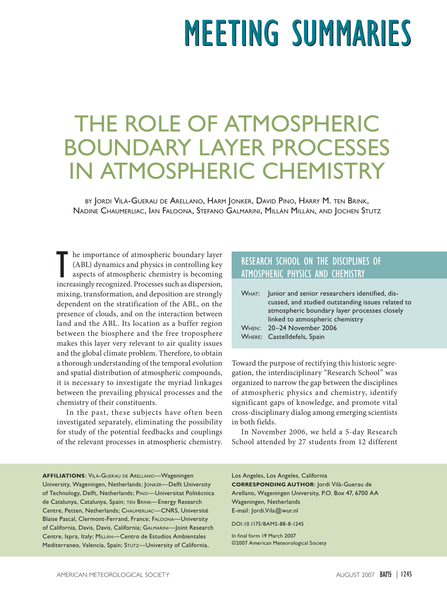# **MEETING SUMMARIES**

# THE ROLE OF ATMOSPHERIC BOUNDARY LAYER PROCESSES IN ATMOSPHERIC CHEMISTRY

BY JORDI VILÀ-GUERAU DE ARELLANO, HARM JONKER, DAVID PINO, HARRY M. TEN BRINK, NADINE CHAUMERLIAC, IAN FALOONA, STEFANO GALMARINI, MILLÁN MILLÁN, AND JOCHEN STUTZ

he importance of atmospheric boundary layer (ABL) dynamics and physics in controlling key aspects of atmospheric chemistry is becoming increasingly recognized. Processes such as dispersion, mixing, transformation, and deposition are strongly dependent on the stratification of the ABL, on the presence of clouds, and on the interaction between land and the ABL. Its location as a buffer region between the biosphere and the free troposphere makes this layer very relevant to air quality issues and the global climate problem. Therefore, to obtain a thorough understanding of the temporal evolution and spatial distribution of atmospheric compounds, it is necessary to investigate the myriad linkages between the prevailing physical processes and the chemistry of their constituents.

In the past, these subjects have often been investigated separately, eliminating the possibility for study of the potential feedbacks and couplings of the relevant processes in atmospheric chemistry.

### RESEARCH SCHOOL ON THE DISCIPLINES OF ATMOSPHERIC PHYSICS AND CHEMISTRY

|  | WHAT: Junior and senior researchers identified, dis- |
|--|------------------------------------------------------|
|  | cussed, and studied outstanding issues related to    |
|  | atmospheric boundary layer processes closely         |
|  | linked to atmospheric chemistry                      |
|  | WHEN: 20-24 November 2006                            |
|  | WHERE: Castelldefels, Spain                          |
|  |                                                      |

Toward the purpose of rectifying this historic segregation, the interdisciplinary "Research School" was organized to narrow the gap between the disciplines of atmospheric physics and chemistry, identify significant gaps of knowledge, and promote vital cross-disciplinary dialog among emerging scientists in both fields.

In November 2006, we held a 5-day Research School attended by 27 students from 12 different

**AFFILIATIONS**: VILÀ-GUERAU DE ARELLANO—Wageningen University, Wageningen, Netherlands; JONKER—Delft University of Technology, Delft, Netherlands; PINO—Universitat Politècnica de Catalunya, Catalunya, Spain; TEN BRINK—Energy Research Centre, Petten, Netherlands; CHAUMERLIAC—CNRS, Université Blaise Pascal, Clermont-Ferrand, France; FALOONA—University of California, Davis, Davis, California; GALMARINI—Joint Research Centre, Ispra, Italy; MILLÁN—Centro de Estudios Ambientales Mediterraneo, Valencia, Spain; STUTZ—University of California,

Los Angeles, Los Angeles, California **CORRESPONDING AUTHOR**: Jordi Vilà-Guerau de Arellano, Wageningen University, P.O. Box 47, 6700 AA Wageningen, Netherlands E-mail: Jordi.Vila@wur.nl

DOI:10.1175/BAMS-88-8-1245

In final form 19 March 2007 ©2007 American Meteorological Society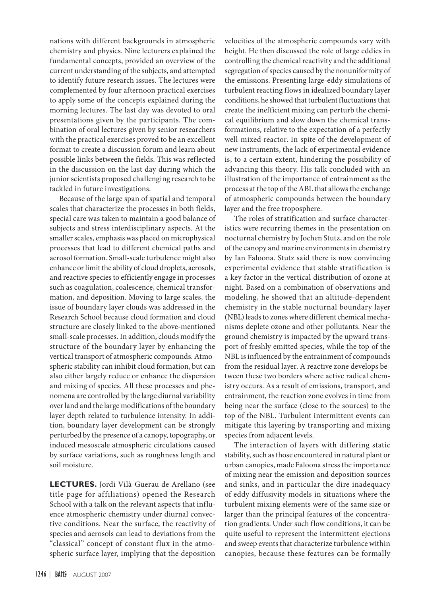nations with different backgrounds in atmospheric chemistry and physics. Nine lecturers explained the fundamental concepts, provided an overview of the current understanding of the subjects, and attempted to identify future research issues. The lectures were complemented by four afternoon practical exercises to apply some of the concepts explained during the morning lectures. The last day was devoted to oral presentations given by the participants. The combination of oral lectures given by senior researchers with the practical exercises proved to be an excellent format to create a discussion forum and learn about possible links between the fields. This was reflected in the discussion on the last day during which the junior scientists proposed challenging research to be tackled in future investigations.

Because of the large span of spatial and temporal scales that characterize the processes in both fields, special care was taken to maintain a good balance of subjects and stress interdisciplinary aspects. At the smaller scales, emphasis was placed on microphysical processes that lead to different chemical paths and aerosol formation. Small-scale turbulence might also enhance or limit the ability of cloud droplets, aerosols, and reactive species to efficiently engage in processes such as coagulation, coalescence, chemical transformation, and deposition. Moving to large scales, the issue of boundary layer clouds was addressed in the Research School because cloud formation and cloud structure are closely linked to the above-mentioned small-scale processes. In addition, clouds modify the structure of the boundary layer by enhancing the vertical transport of atmospheric compounds. Atmospheric stability can inhibit cloud formation, but can also either largely reduce or enhance the dispersion and mixing of species. All these processes and phenomena are controlled by the large diurnal variability over land and the large modifications of the boundary layer depth related to turbulence intensity. In addition, boundary layer development can be strongly perturbed by the presence of a canopy, topography, or induced mesoscale atmospheric circulations caused by surface variations, such as roughness length and soil moisture.

**LECTURES.** Jordi Vilà-Guerau de Arellano (see title page for affiliations) opened the Research School with a talk on the relevant aspects that influence atmospheric chemistry under diurnal convective conditions. Near the surface, the reactivity of species and aerosols can lead to deviations from the "classical" concept of constant flux in the atmospheric surface layer, implying that the deposition

velocities of the atmospheric compounds vary with height. He then discussed the role of large eddies in controlling the chemical reactivity and the additional segregation of species caused by the nonuniformity of the emissions. Presenting large-eddy simulations of turbulent reacting flows in idealized boundary layer conditions, he showed that turbulent fluctuations that create the inefficient mixing can perturb the chemical equilibrium and slow down the chemical transformations, relative to the expectation of a perfectly well-mixed reactor. In spite of the development of new instruments, the lack of experimental evidence is, to a certain extent, hindering the possibility of advancing this theory. His talk concluded with an illustration of the importance of entrainment as the process at the top of the ABL that allows the exchange of atmospheric compounds between the boundary layer and the free troposphere.

The roles of stratification and surface characteristics were recurring themes in the presentation on nocturnal chemistry by Jochen Stutz, and on the role of the canopy and marine environments in chemistry by Ian Faloona. Stutz said there is now convincing experimental evidence that stable stratification is a key factor in the vertical distribution of ozone at night. Based on a combination of observations and modeling, he showed that an altitude-dependent chemistry in the stable nocturnal boundary layer (NBL) leads to zones where different chemical mechanisms deplete ozone and other pollutants. Near the ground chemistry is impacted by the upward transport of freshly emitted species, while the top of the NBL is influenced by the entrainment of compounds from the residual layer. A reactive zone develops between these two borders where active radical chemistry occurs. As a result of emissions, transport, and entrainment, the reaction zone evolves in time from being near the surface (close to the sources) to the top of the NBL. Turbulent intermittent events can mitigate this layering by transporting and mixing species from adjacent levels.

The interaction of layers with differing static stability, such as those encountered in natural plant or urban canopies, made Faloona stress the importance of mixing near the emission and deposition sources and sinks, and in particular the dire inadequacy of eddy diffusivity models in situations where the turbulent mixing elements were of the same size or larger than the principal features of the concentration gradients. Under such flow conditions, it can be quite useful to represent the intermittent ejections and sweep events that characterize turbulence within canopies, because these features can be formally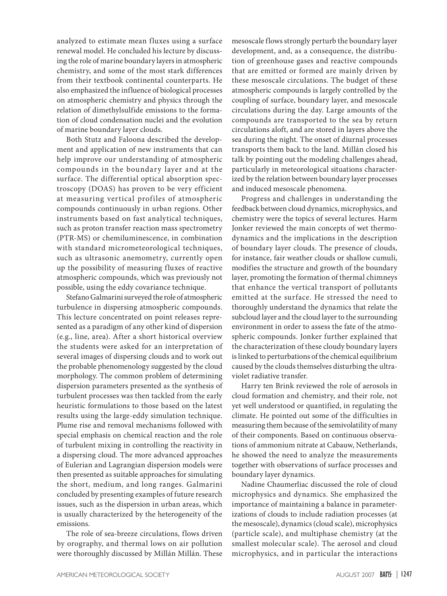analyzed to estimate mean fluxes using a surface renewal model. He concluded his lecture by discussing the role of marine boundary layers in atmospheric chemistry, and some of the most stark differences from their textbook continental counterparts. He also emphasized the influence of biological processes on atmospheric chemistry and physics through the relation of dimethylsulfide emissions to the formation of cloud condensation nuclei and the evolution of marine boundary layer clouds.

Both Stutz and Faloona described the development and application of new instruments that can help improve our understanding of atmospheric compounds in the boundary layer and at the surface. The differential optical absorption spectroscopy (DOAS) has proven to be very efficient at measuring vertical profiles of atmospheric compounds continuously in urban regions. Other instruments based on fast analytical techniques, such as proton transfer reaction mass spectrometry (PTR-MS) or chemiluminescence, in combination with standard micrometeorological techniques, such as ultrasonic anemometry, currently open up the possibility of measuring fluxes of reactive atmospheric compounds, which was previously not possible, using the eddy covariance technique.

Stefano Galmarini surveyed the role of atmospheric turbulence in dispersing atmospheric compounds. This lecture concentrated on point releases represented as a paradigm of any other kind of dispersion (e.g., line, area). After a short historical overview the students were asked for an interpretation of several images of dispersing clouds and to work out the probable phenomenology suggested by the cloud morphology. The common problem of determining dispersion parameters presented as the synthesis of turbulent processes was then tackled from the early heuristic formulations to those based on the latest results using the large-eddy simulation technique. Plume rise and removal mechanisms followed with special emphasis on chemical reaction and the role of turbulent mixing in controlling the reactivity in a dispersing cloud. The more advanced approaches of Eulerian and Lagrangian dispersion models were then presented as suitable approaches for simulating the short, medium, and long ranges. Galmarini concluded by presenting examples of future research issues, such as the dispersion in urban areas, which is usually characterized by the heterogeneity of the emissions.

The role of sea-breeze circulations, flows driven by orography, and thermal lows on air pollution were thoroughly discussed by Millán Millán. These

mesoscale flows strongly perturb the boundary layer development, and, as a consequence, the distribution of greenhouse gases and reactive compounds that are emitted or formed are mainly driven by these mesoscale circulations. The budget of these atmospheric compounds is largely controlled by the coupling of surface, boundary layer, and mesoscale circulations during the day. Large amounts of the compounds are transported to the sea by return circulations aloft, and are stored in layers above the sea during the night. The onset of diurnal processes transports them back to the land. Millán closed his talk by pointing out the modeling challenges ahead, particularly in meteorological situations characterized by the relation between boundary layer processes and induced mesoscale phenomena.

Progress and challenges in understanding the feedback between cloud dynamics, microphysics, and chemistry were the topics of several lectures. Harm Jonker reviewed the main concepts of wet thermodynamics and the implications in the description of boundary layer clouds. The presence of clouds, for instance, fair weather clouds or shallow cumuli, modifies the structure and growth of the boundary layer, promoting the formation of thermal chimneys that enhance the vertical transport of pollutants emitted at the surface. He stressed the need to thoroughly understand the dynamics that relate the subcloud layer and the cloud layer to the surrounding environment in order to assess the fate of the atmospheric compounds. Jonker further explained that the characterization of these cloudy boundary layers is linked to perturbations of the chemical equilibrium caused by the clouds themselves disturbing the ultraviolet radiative transfer.

Harry ten Brink reviewed the role of aerosols in cloud formation and chemistry, and their role, not yet well understood or quantified, in regulating the climate. He pointed out some of the difficulties in measuring them because of the semivolatility of many of their components. Based on continuous observations of ammonium nitrate at Cabauw, Netherlands, he showed the need to analyze the measurements together with observations of surface processes and boundary layer dynamics.

Nadine Chaumerliac discussed the role of cloud microphysics and dynamics. She emphasized the importance of maintaining a balance in parameterizations of clouds to include radiation processes (at the mesoscale), dynamics (cloud scale), microphysics (particle scale), and multiphase chemistry (at the smallest molecular scale). The aerosol and cloud microphysics, and in particular the interactions